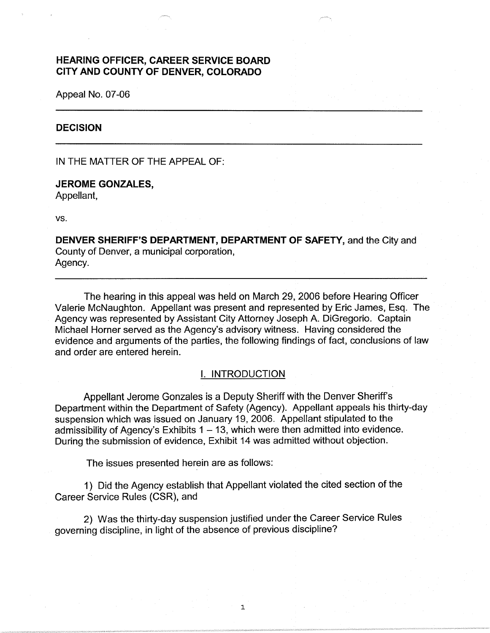# **HEARING OFFICER, CAREER SERVICE BOARD CITY AND COUNTY OF DENVER, COLORADO**

Appeal No. 07-06

#### **DECISION**

IN THE MATTER OF THE APPEAL OF:

# **JEROME GONZALES,**  Appellant,

vs.

**DENVER SHERIFF'S DEPARTMENT, DEPARTMENT OF SAFETY,** and the City and County of Denver, a municipal corporation, Agency.

The hearing in this appeal was held on March 29, 2006 before Hearing Officer Valerie McNaughton. Appellant was present and represented by Eric James, Esq. The Agency was represented by Assistant City Attorney Joseph A. DiGregorio. Captain Michael Horner served as the Agency's advisory witness. Having considered the evidence and arguments of the parties, the following findings of fact, conclusions of law and order are entered herein.

### I. INTRODUCTION

Appellant Jerome Gonzales is a Deputy Sheriff with the Denver Sheriff's Department within the Department of Safety (Agency). Appellant appeals his thirty-day suspension which was issued on January 19, 2006. Appellant stipulated to the admissibility of Agency's Exhibits  $1 - 13$ , which were then admitted into evidence. During the submission of evidence, Exhibit 14 was admitted without objection.

The issues presented herein are as follows:

1) Did the Agency establish that Appellant violated the cited section of the Career Service Rules (CSR), and

2) Was the thirty-day suspension justified under the Career Service Rules governing discipline, in light of the absence of previous discipline?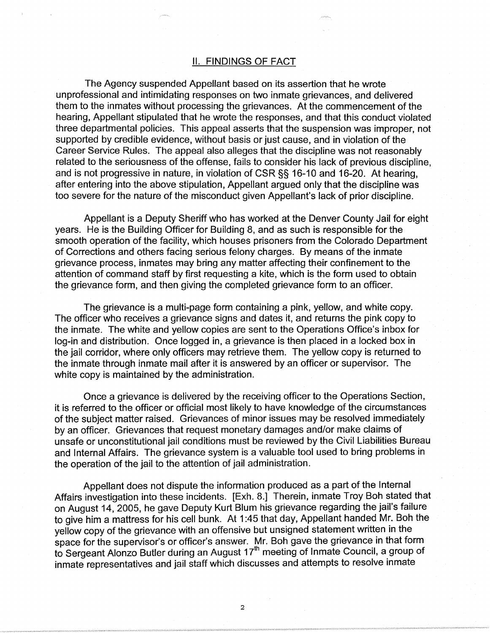## II. FINDINGS OF FACT

The Agency suspended Appellant based on its assertion that he wrote unprofessional and intimidating responses on two inmate grievances, and delivered them to the inmates without processing the grievances. At the commencement of the hearing, Appellant stipulated that he wrote the responses, and that this conduct violated three departmental policies. This appeal asserts that the suspension was improper, not supported by credible evidence, without basis or just cause, and in violation of the Career Service Rules. The appeal also alleges that the discipline was not reasonably related to the seriousness of the offense, fails to consider his lack of previous discipline, and is not progressive in nature, in violation of CSR§§ 16-10 and 16-20. At hearing, after entering into the above stipulation, Appellant argued only that the discipline was too severe for the nature of the misconduct given Appellant's lack of prior discipline.

Appellant is a Deputy Sheriff who has worked at the Denver County Jail for eight years. He is the Building Officer for Building 8, and as such is responsible for the smooth operation of the facility, which houses prisoners from the Colorado Department of Corrections and others facing serious felony charges. By means of the inmate grievance process, inmates may bring any matter affecting their confinement to the attention of command staff by first requesting a kite, which is the form used to obtain the grievance form, and then giving the completed grievance form to an officer.

The grievance is a multi-page form containing a pink, yellow, and white copy. The officer who receives a grievance signs and dates it, and returns the pink copy to the inmate. The white and yellow copies are sent to the Operations Office's inbox for log-in and distribution. Once logged in, a grievance is then placed in a locked box in the jail corridor, where only officers may retrieve them. The yellow copy is returned to the inmate through inmate mail after it is answered by an officer or supervisor. The white copy is maintained by the administration.

Once a grievance is delivered by the receiving officer to the Operations Section, it is referred to the officer or official most likely to have knowledge of the circumstances of the subject matter raised. Grievances of minor issues may be resolved immediately by an officer. Grievances that request monetary damages and/or make claims of unsafe or unconstitutional jail conditions must be reviewed by the Civil Liabilities Bureau and Internal Affairs. The grievance system is a valuable tool used to bring problems in the operation of the jail to the attention of jail administration.

Appellant does not dispute the information produced as a part of the Internal Affairs investigation into these incidents. [Exh. 8.] Therein, inmate Troy Boh stated that on August 14, 2005, he gave Deputy Kurt Blum his grievance regarding the jail's failure to give him a mattress for his cell bunk. At 1 :45 that day, Appellant handed Mr. Boh the yellow copy of the grievance with an offensive but unsigned statement written in the space for the supervisor's or officer's answer. Mr. Boh gave the grievance in that form to Sergeant Alonzo Butler during an August 17<sup>th</sup> meeting of Inmate Council, a group of inmate representatives and jail staff which discusses and attempts to resolve inmate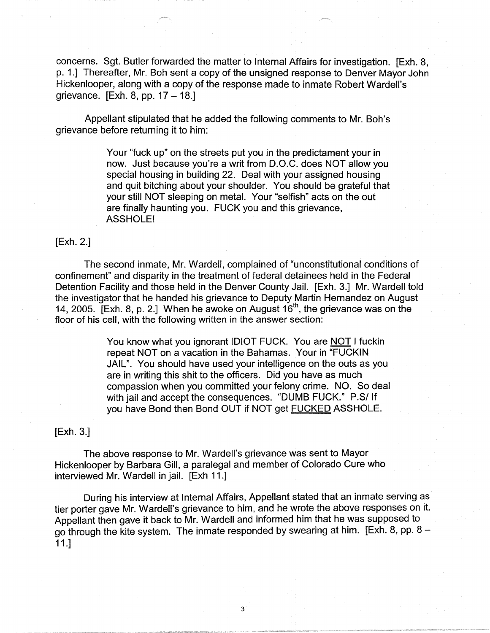concerns. Sgt. Butler forwarded the matter to Internal Affairs for investigation. [Exh. 8, p. 1.] Thereafter, Mr. Boh sent a copy of the unsigned response to Denver Mayor John Hickenlooper, along with a copy of the response made to inmate Robert Wardell's grievance.  $[Exh. 8, pp. 17 - 18.]$ 

Appellant stipulated that he added the following comments to Mr. Boh's grievance before returning it to him:

> Your "fuck up" on the streets put you in the predictament your in now. Just because you're a writ from D.O.C. does NOT allow you special housing in building 22. Deal with your assigned housing and quit bitching about your shoulder. You should be grateful that your still NOT sleeping on metal. Your "selfish" acts on the out are finally haunting you. FUCK you and this grievance, ASSHOLE!

## [Exh. 2.]

The second inmate, Mr. Wardell, complained of "unconstitutional conditions of confinement" and disparity in the treatment of federal detainees held in the Federal Detention Facility and those held in the Denver County Jail. [Exh. 3.] Mr. Wardell told the investigator that he handed his grievance to Deputy Martin Hernandez on August 14, 2005. [Exh. 8, p. 2.] When he awoke on August  $16<sup>th</sup>$ , the grievance was on the floor of his cell, with the following written in the answer section:

> You know what you ignorant IDIOT FUCK. You are NOT I fuckin repeat NOT on a vacation in the Bahamas. Your in "FUCKIN JAIL". You should have used your intelligence on the outs as you are in writing this shit to the officers. Did you have as much compassion when you committed your felony crime. NO. So deal with jail and accept the consequences. "DUMB FUCK." P.S/ If you have Bond then Bond OUT if NOT get FUCKED ASSHOLE.

### [Exh. 3.]

The above response to Mr. Wardell's grievance was sent to Mayor Hickenlooper by Barbara Gill, a paralegal and member of Colorado Cure who interviewed Mr. Wardell in jail. [Exh 11.]

During his interview at Internal Affairs, Appellant stated that an inmate serving as tier porter gave Mr. Wardell's grievance to him, and he wrote the above responses on it. Appellant then gave it back to Mr. Wardell and informed him that he was supposed to go through the kite system. The inmate responded by swearing at him. [Exh. 8, pp.  $8 -$ 11.]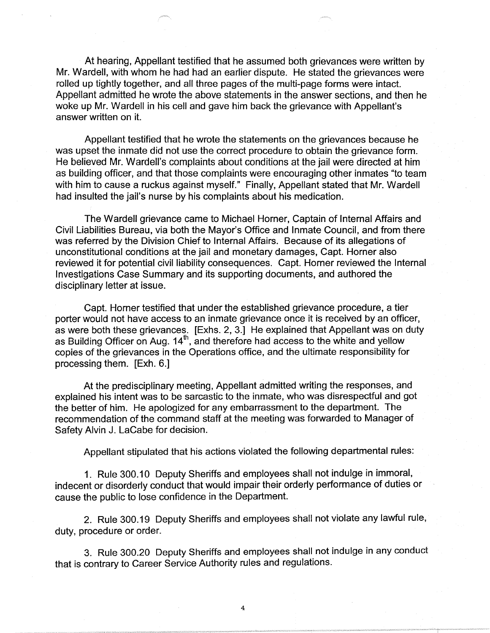At hearing, Appellant testified that he assumed both grievances were written by Mr. Wardell, with whom he had had an earlier dispute. He stated the grievances were rolled up tightly together, and all three pages of the multi-page forms were intact. Appellant admitted he wrote the above statements in the answer sections, and then he woke up Mr. Wardell in his cell and gave him back the grievance with Appellant's answer written on it.

Appellant testified that he wrote the statements on the grievances because he was upset the inmate did not use the correct procedure to obtain the grievance form. He believed Mr. Wardell's complaints about conditions at the jail were directed at him as building officer, and that those complaints were encouraging other inmates "to team with him to cause a ruckus against myself." Finally, Appellant stated that Mr. Wardell had insulted the jail's nurse by his complaints about his medication.

The Wardell grievance came to Michael Horner, Captain of Internal Affairs and Civil Liabilities Bureau, via both the Mayor's Office and Inmate Council, and from there was referred by the Division Chief to Internal Affairs. Because of its allegations of unconstitutional conditions at the jail and monetary damages, Capt. Horner also reviewed it for potential civil liability consequences. Capt. Horner reviewed the Internal Investigations Case Summary and its supporting documents, and authored the disciplinary letter at issue.

Capt. Horner testified that under the established grievance procedure, a tier porter would not have access to an inmate grievance once it is received by an officer, as were both these grievances. [Exhs. 2, 3.] He explained that Appellant was on duty as Building Officer on Aug. 14<sup>th</sup>, and therefore had access to the white and yellow copies of the grievances in the Operations office, and the ultimate responsibility for processing them. [Exh. 6.]

At the predisciplinary meeting, Appellant admitted writing the responses, and explained his intent was to be sarcastic to the inmate, who was disrespectful and got the better of him. He apologized for any embarrassment to the department. The recommendation of the command staff at the meeting was forwarded to Manager of Safety Alvin J. LaCabe for decision.

Appellant stipulated that his actions violated the following departmental rules:

1. Rule 300.10 Deputy Sheriffs and employees shall not indulge in immoral, indecent or disorderly conduct that would impair their orderly performance of duties or cause the public to lose confidence in the Department.

2. Rule 300.19 Deputy Sheriffs and employees shall not violate any lawful rule, duty, procedure or order.

3. Rule 300.20 Deputy Sheriffs and employees shall not indulge in any conduct that is contrary to Career Service Authority rules and regulations.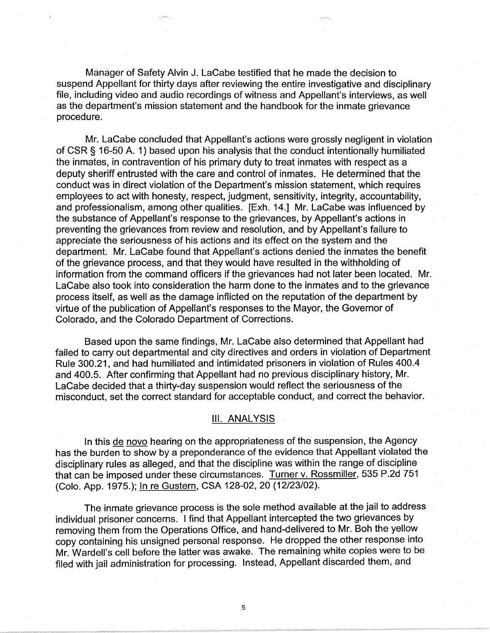Manager of Safety Alvin J. LaCabe testified that he made the decision to suspend Appellant for thirty days after reviewing the entire investigative and disciplinary file, including video and audio recordings of witness and Appellant's interviews, as well as the department's mission statement and the handbook for the inmate grievance procedure.

Mr. LaCabe concluded that Appellant's actions were grossly negligent in violation of CSR § 16-50 A. 1) based upon his analysis that the conduct intentionally humiliated the inmates, in contravention of his primary duty to treat inmates with respect as a deputy sheriff entrusted with the care and control of inmates. He determined that the conduct was in direct violation of the Department's mission statement, which requires employees to act with honesty, respect, judgment, sensitivity, integrity, accountability, and professionalism, among other qualities. [Exh. 14.] Mr. LaCabe was influenced by the substance of Appellant's response to the grievances, by Appellant's actions in preventing the grievances from review and resolution, and by Appellant's failure to appreciate the seriousness of his actions and its effect on the system and the department. Mr. LaCabe found that Appellant's actions denied the inmates the benefit of the grievance process, and that they would have resulted in the withholding of information from the command officers if the grievances had not later been located. Mr. LaCabe also took into consideration the harm done to the inmates and to the grievance process itself, as well as the damage inflicted on the reputation of the department by virtue of the publication of Appellant's responses to the Mayor, the Governor of Colorado, and the Colorado Department of Corrections.

Based upon the same findings, Mr. LaCabe also determined that Appellant had failed to carry out departmental and city directives and orders in violation of Department Rule 300.21, and had humiliated and intimidated prisoners in violation of Rules 400.4 and 400.5. After confirming that Appellant had no previous disciplinary history, Mr. LaCabe decided that a thirty-day suspension would reflect the seriousness of the misconduct, set the correct standard for acceptable conduct, and correct the behavior.

## Ill. ANALYSIS

In this de novo hearing on the appropriateness of the suspension, the Agency has the burden to show by a preponderance of the evidence that Appellant violated the disciplinary rules as alleged, and that the discipline was within the range of discipline that can be imposed under these circumstances. Turner v. Rossmiller, 535 P.2d 751 (Colo. App. 1975.); In re Gustern, CSA 128-02, 20 (12/23/02).

The inmate grievance process is the sole method available at the jail to address individual prisoner concerns. I find that Appellant intercepted the two grievances by removing them from the Operations Office, and hand-delivered to Mr. Boh the yellow copy containing his unsigned personal response. He dropped the other response into Mr. Wardell's cell before the latter was awake. The remaining white copies were to be filed with jail administration for processing. Instead, Appellant discarded them, and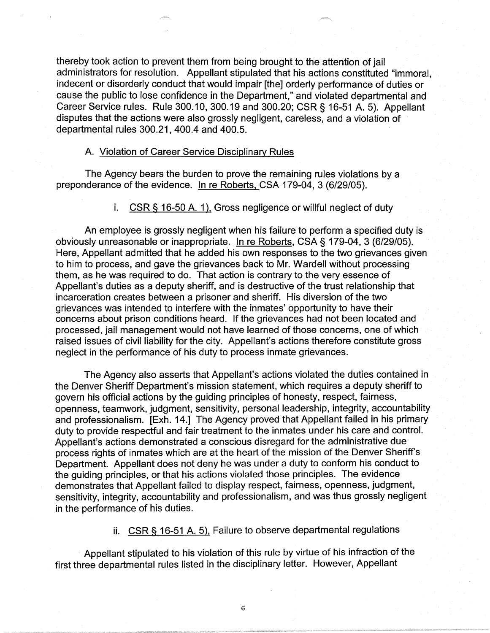thereby took action to prevent them from being brought to the attention of jail administrators for resolution. Appellant stipulated that his actions constituted "immoral, indecent or disorderly conduct that would impair [the] orderly performance of duties or cause the public to lose confidence in the Department," and violated departmental and Career Service rules. Rule 300.10, 300.19 and 300.20; CSR § 16-51 A. 5). Appellant disputes that the actions were also grossly negligent, careless, and a violation of departmental rules 300.21, 400.4 and 400.5.

#### A. Violation of Career Service Disciplinary Rules

The Agency bears the burden to prove the remaining rules violations by a preponderance of the evidence. In re Roberts, CSA 179-04, 3 (6/29/05).

i. CSR § 16-50 A. 1), Gross negligence or willful neglect of duty

An employee is grossly negligent when his failure to perform a specified duty is obviously unreasonable or inappropriate. In re Roberts, CSA§ 179-04, 3 (6/29/05). Here, Appellant admitted that he added his own responses to the two grievances given to him to process, and gave the grievances back to Mr. Wardell without processing them, as he was required to do. That action is contrary to the very essence of Appellant's duties as a deputy sheriff, and is destructive of the trust relationship that incarceration creates between a prisoner and sheriff. His diversion of the two grievances was intended to interfere with the inmates' opportunity to have their concerns about prison conditions heard. If the grievances had not been located and processed, jail management would not have learned of those concerns, one of which raised issues of civil liability for the city. Appellant's actions therefore constitute gross neglect in the performance of his duty to process inmate grievances.

The Agency also asserts that Appellant's actions violated the duties contained in the Denver Sheriff Department's mission statement, which requires a deputy sheriff to govern his official actions by the guiding principles of honesty, respect, fairness, openness, teamwork, judgment, sensitivity, personal leadership, integrity, accountability and professionalism. [Exh. 14.] The Agency proved that Appellant failed in his primary duty to provide respectful and fair treatment to the inmates under his care and control. Appellant's actions demonstrated a conscious disregard for the administrative due process rights of inmates which are at the heart of the mission of the Denver Sheriff's Department. Appellant does not deny he was under a duty to conform his conduct to the guiding principles, or that his actions violated those principles. The evidence demonstrates that Appellant failed to display respect, fairness, openness, judgment, sensitivity, integrity, accountability and professionalism, and was thus grossly negligent in the performance of his duties.

ii. CSR § 16-51 A. 5), Failure to observe departmental regulations

Appellant stipulated to his violation of this rule by virtue of his infraction of the first three departmental rules listed in the disciplinary letter. However, Appellant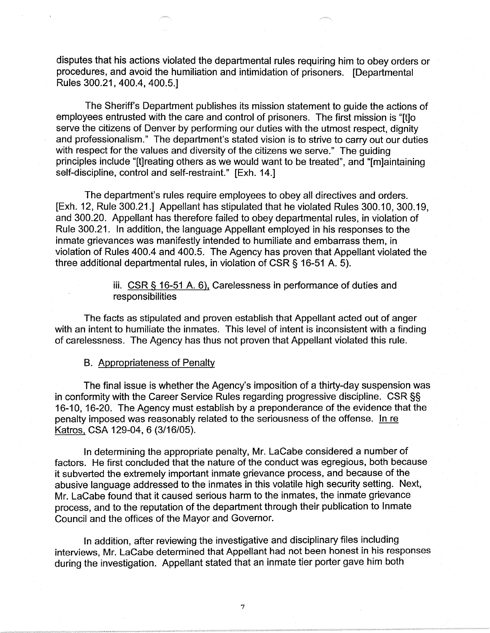disputes that his actions violated the departmental rules requiring him to obey orders or procedures, and avoid the humiliation and intimidation of prisoners. [Departmental Rules 300.21, 400.4, 400.5.]

The Sheriffs Department publishes its mission statement to guide the actions of employees entrusted with the care and control of prisoners. The first mission is "[t]o serve the citizens of Denver by performing our duties with the utmost respect, dignity and professionalism." The department's stated vision is to strive to carry out our duties with respect for the values and diversity of the citizens we serve." The guiding principles include "[t]reating others as we would want to be treated", and "[m]aintaining self-discipline, control and self-restraint." [Exh. 14.]

The department's rules require employees to obey all directives and orders. [Exh. 12, Rule 300.21.] Appellant has stipulated that he violated Rules 300.10, 300.19, and 300.20. Appellant has therefore failed to obey departmental rules, in violation of Rule 300.21. In addition, the language Appellant employed in his responses to the inmate grievances was manifestly intended to humiliate and embarrass them, in violation of Rules 400.4 and 400.5. The Agency has proven that Appellant violated the three additional departmental rules, in violation of CSR § 16-51 A. 5).

> iii. CSR § 16-51 A. 6), Carelessness in performance of duties and responsibilities

The facts as stipulated and proven establish that Appellant acted out of anger with an intent to humiliate the inmates. This level of intent is inconsistent with a finding of carelessness. The Agency has thus not proven that Appellant violated this rule.

#### B. Appropriateness of Penalty

The final issue is whether the Agency's imposition of a thirty-day suspension was in conformity with the Career Service Rules regarding progressive discipline. CSR §§ 16-10, 16-20. The Agency must establish by a preponderance of the evidence that the penalty imposed was reasonably related to the seriousness of the offense. In re Katros, CSA 129-04, 6 (3/16/05).

In determining the appropriate penalty, Mr. LaCabe considered a number of factors. He first concluded that the nature of the conduct was egregious, both because it subverted the extremely important inmate grievance process, and because of the abusive language addressed to the inmates in this volatile high security setting. Next, Mr. LaCabe found that it caused serious harm to the inmates, the inmate grievance process, and to the reputation of the department through their publication to Inmate Council and the offices of the Mayor and Governor.

In addition, after reviewing the investigative and disciplinary files including interviews, Mr. LaCabe determined that Appellant had not been honest in his responses during the investigation. Appellant stated that an inmate tier porter gave him both